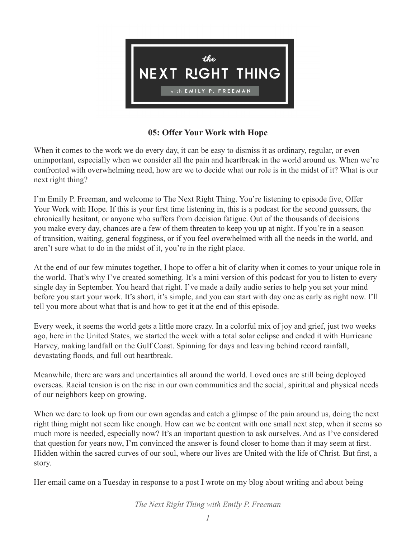

## **05: Offer Your Work with Hope**

When it comes to the work we do every day, it can be easy to dismiss it as ordinary, regular, or even unimportant, especially when we consider all the pain and heartbreak in the world around us. When we're confronted with overwhelming need, how are we to decide what our role is in the midst of it? What is our next right thing?

I'm Emily P. Freeman, and welcome to The Next Right Thing. You're listening to episode five, Offer Your Work with Hope. If this is your first time listening in, this is a podcast for the second guessers, the chronically hesitant, or anyone who suffers from decision fatigue. Out of the thousands of decisions you make every day, chances are a few of them threaten to keep you up at night. If you're in a season of transition, waiting, general fogginess, or if you feel overwhelmed with all the needs in the world, and aren't sure what to do in the midst of it, you're in the right place.

At the end of our few minutes together, I hope to offer a bit of clarity when it comes to your unique role in the world. That's why I've created something. It's a mini version of this podcast for you to listen to every single day in September. You heard that right. I've made a daily audio series to help you set your mind before you start your work. It's short, it's simple, and you can start with day one as early as right now. I'll tell you more about what that is and how to get it at the end of this episode.

Every week, it seems the world gets a little more crazy. In a colorful mix of joy and grief, just two weeks ago, here in the United States, we started the week with a total solar eclipse and ended it with Hurricane Harvey, making landfall on the Gulf Coast. Spinning for days and leaving behind record rainfall, devastating floods, and full out heartbreak.

Meanwhile, there are wars and uncertainties all around the world. Loved ones are still being deployed overseas. Racial tension is on the rise in our own communities and the social, spiritual and physical needs of our neighbors keep on growing.

When we dare to look up from our own agendas and catch a glimpse of the pain around us, doing the next right thing might not seem like enough. How can we be content with one small next step, when it seems so much more is needed, especially now? It's an important question to ask ourselves. And as I've considered that question for years now, I'm convinced the answer is found closer to home than it may seem at first. Hidden within the sacred curves of our soul, where our lives are United with the life of Christ. But first, a story.

Her email came on a Tuesday in response to a post I wrote on my blog about writing and about being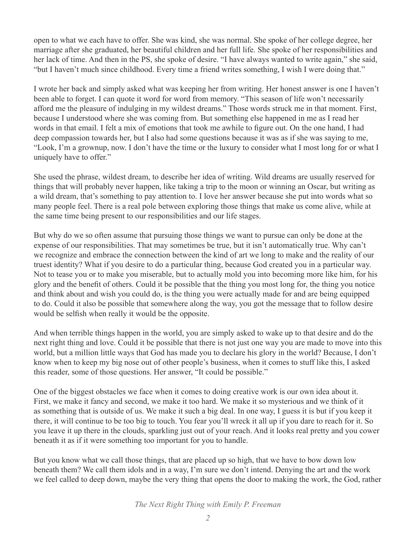open to what we each have to offer. She was kind, she was normal. She spoke of her college degree, her marriage after she graduated, her beautiful children and her full life. She spoke of her responsibilities and her lack of time. And then in the PS, she spoke of desire. "I have always wanted to write again," she said, "but I haven't much since childhood. Every time a friend writes something, I wish I were doing that."

I wrote her back and simply asked what was keeping her from writing. Her honest answer is one I haven't been able to forget. I can quote it word for word from memory. "This season of life won't necessarily afford me the pleasure of indulging in my wildest dreams." Those words struck me in that moment. First, because I understood where she was coming from. But something else happened in me as I read her words in that email. I felt a mix of emotions that took me awhile to figure out. On the one hand, I had deep compassion towards her, but I also had some questions because it was as if she was saying to me, "Look, I'm a grownup, now. I don't have the time or the luxury to consider what I most long for or what I uniquely have to offer."

She used the phrase, wildest dream, to describe her idea of writing. Wild dreams are usually reserved for things that will probably never happen, like taking a trip to the moon or winning an Oscar, but writing as a wild dream, that's something to pay attention to. I love her answer because she put into words what so many people feel. There is a real pole between exploring those things that make us come alive, while at the same time being present to our responsibilities and our life stages.

But why do we so often assume that pursuing those things we want to pursue can only be done at the expense of our responsibilities. That may sometimes be true, but it isn't automatically true. Why can't we recognize and embrace the connection between the kind of art we long to make and the reality of our truest identity? What if you desire to do a particular thing, because God created you in a particular way. Not to tease you or to make you miserable, but to actually mold you into becoming more like him, for his glory and the benefit of others. Could it be possible that the thing you most long for, the thing you notice and think about and wish you could do, is the thing you were actually made for and are being equipped to do. Could it also be possible that somewhere along the way, you got the message that to follow desire would be selfish when really it would be the opposite.

And when terrible things happen in the world, you are simply asked to wake up to that desire and do the next right thing and love. Could it be possible that there is not just one way you are made to move into this world, but a million little ways that God has made you to declare his glory in the world? Because, I don't know when to keep my big nose out of other people's business, when it comes to stuff like this, I asked this reader, some of those questions. Her answer, "It could be possible."

One of the biggest obstacles we face when it comes to doing creative work is our own idea about it. First, we make it fancy and second, we make it too hard. We make it so mysterious and we think of it as something that is outside of us. We make it such a big deal. In one way, I guess it is but if you keep it there, it will continue to be too big to touch. You fear you'll wreck it all up if you dare to reach for it. So you leave it up there in the clouds, sparkling just out of your reach. And it looks real pretty and you cower beneath it as if it were something too important for you to handle.

But you know what we call those things, that are placed up so high, that we have to bow down low beneath them? We call them idols and in a way, I'm sure we don't intend. Denying the art and the work we feel called to deep down, maybe the very thing that opens the door to making the work, the God, rather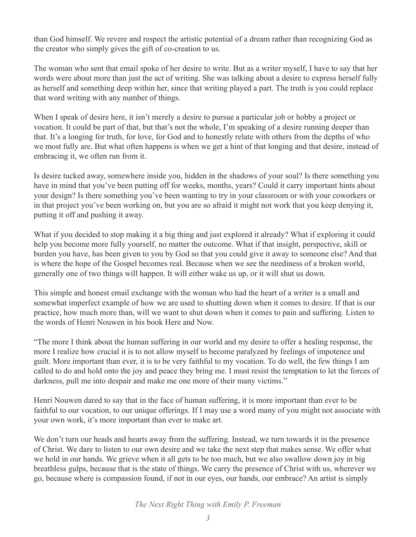than God himself. We revere and respect the artistic potential of a dream rather than recognizing God as the creator who simply gives the gift of co-creation to us.

The woman who sent that email spoke of her desire to write. But as a writer myself, I have to say that her words were about more than just the act of writing. She was talking about a desire to express herself fully as herself and something deep within her, since that writing played a part. The truth is you could replace that word writing with any number of things.

When I speak of desire here, it isn't merely a desire to pursue a particular job or hobby a project or vocation. It could be part of that, but that's not the whole, I'm speaking of a desire running deeper than that. It's a longing for truth, for love, for God and to honestly relate with others from the depths of who we most fully are. But what often happens is when we get a hint of that longing and that desire, instead of embracing it, we often run from it.

Is desire tucked away, somewhere inside you, hidden in the shadows of your soul? Is there something you have in mind that you've been putting off for weeks, months, years? Could it carry important hints about your design? Is there something you've been wanting to try in your classroom or with your coworkers or in that project you've been working on, but you are so afraid it might not work that you keep denying it, putting it off and pushing it away.

What if you decided to stop making it a big thing and just explored it already? What if exploring it could help you become more fully yourself, no matter the outcome. What if that insight, perspective, skill or burden you have, has been given to you by God so that you could give it away to someone else? And that is where the hope of the Gospel becomes real. Because when we see the neediness of a broken world, generally one of two things will happen. It will either wake us up, or it will shut us down.

This simple and honest email exchange with the woman who had the heart of a writer is a small and somewhat imperfect example of how we are used to shutting down when it comes to desire. If that is our practice, how much more than, will we want to shut down when it comes to pain and suffering. Listen to the words of Henri Nouwen in his book Here and Now.

"The more I think about the human suffering in our world and my desire to offer a healing response, the more I realize how crucial it is to not allow myself to become paralyzed by feelings of impotence and guilt. More important than ever, it is to be very faithful to my vocation. To do well, the few things I am called to do and hold onto the joy and peace they bring me. I must resist the temptation to let the forces of darkness, pull me into despair and make me one more of their many victims."

Henri Nouwen dared to say that in the face of human suffering, it is more important than ever to be faithful to our vocation, to our unique offerings. If I may use a word many of you might not associate with your own work, it's more important than ever to make art.

We don't turn our heads and hearts away from the suffering. Instead, we turn towards it in the presence of Christ. We dare to listen to our own desire and we take the next step that makes sense. We offer what we hold in our hands. We grieve when it all gets to be too much, but we also swallow down joy in big breathless gulps, because that is the state of things. We carry the presence of Christ with us, wherever we go, because where is compassion found, if not in our eyes, our hands, our embrace? An artist is simply